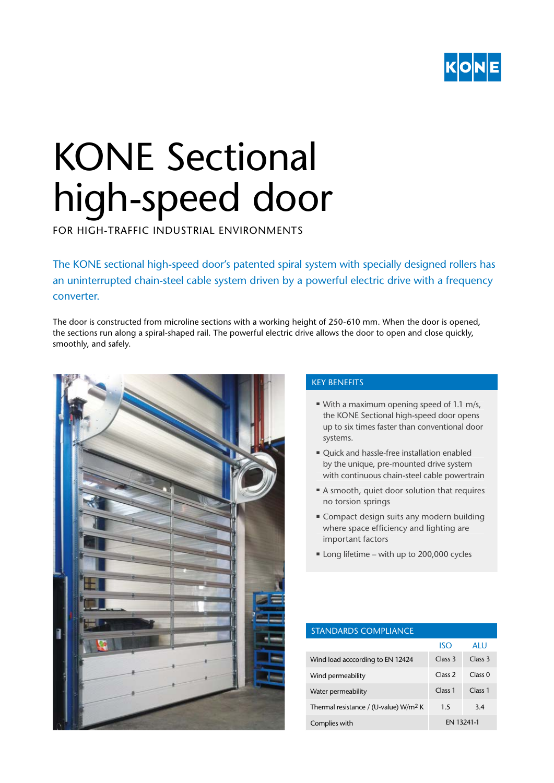

# KONE Sectional high-speed door

FOR HIGH-TRAFFIC INDUSTRIAL ENVIRONMENTS

The KONE sectional high-speed door's patented spiral system with specially designed rollers has an uninterrupted chain-steel cable system driven by a powerful electric drive with a frequency converter.

The door is constructed from microline sections with a working height of 250-610 mm. When the door is opened, the sections run along a spiral-shaped rail. The powerful electric drive allows the door to open and close quickly, smoothly, and safely.



## KEY BENEFITS

- With a maximum opening speed of 1.1 m/s. the KONE Sectional high-speed door opens up to six times faster than conventional door systems.
- Quick and hassle-free installation enabled by the unique, pre-mounted drive system with continuous chain-steel cable powertrain
- A smooth, quiet door solution that requires no torsion springs
- Compact design suits any modern building where space efficiency and lighting are important factors
- Long lifetime with up to 200,000 cycles

| <b>STANDARDS COMPLIANCE</b>                       |                    |                    |
|---------------------------------------------------|--------------------|--------------------|
|                                                   | ISO                | ALU.               |
| Wind load acccording to EN 12424                  | Class <sub>3</sub> | Class <sub>3</sub> |
| Wind permeability                                 | Class <sub>2</sub> | Class 0            |
| Water permeability                                | Class <sub>1</sub> | Class <sub>1</sub> |
| Thermal resistance / (U-value) W/m <sup>2</sup> K | 1.5                | 3.4                |
| Complies with                                     | EN 13241-1         |                    |